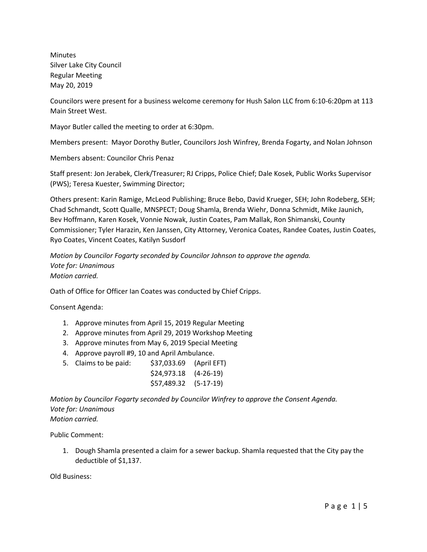Minutes Silver Lake City Council Regular Meeting May 20, 2019

Councilors were present for a business welcome ceremony for Hush Salon LLC from 6:10-6:20pm at 113 Main Street West.

Mayor Butler called the meeting to order at 6:30pm.

Members present: Mayor Dorothy Butler, Councilors Josh Winfrey, Brenda Fogarty, and Nolan Johnson

Members absent: Councilor Chris Penaz

Staff present: Jon Jerabek, Clerk/Treasurer; RJ Cripps, Police Chief; Dale Kosek, Public Works Supervisor (PWS); Teresa Kuester, Swimming Director;

Others present: Karin Ramige, McLeod Publishing; Bruce Bebo, David Krueger, SEH; John Rodeberg, SEH; Chad Schmandt, Scott Qualle, MNSPECT; Doug Shamla, Brenda Wiehr, Donna Schmidt, Mike Jaunich, Bev Hoffmann, Karen Kosek, Vonnie Nowak, Justin Coates, Pam Mallak, Ron Shimanski, County Commissioner; Tyler Harazin, Ken Janssen, City Attorney, Veronica Coates, Randee Coates, Justin Coates, Ryo Coates, Vincent Coates, Katilyn Susdorf

*Motion by Councilor Fogarty seconded by Councilor Johnson to approve the agenda. Vote for: Unanimous Motion carried.*

Oath of Office for Officer Ian Coates was conducted by Chief Cripps.

Consent Agenda:

- 1. Approve minutes from April 15, 2019 Regular Meeting
- 2. Approve minutes from April 29, 2019 Workshop Meeting
- 3. Approve minutes from May 6, 2019 Special Meeting
- 4. Approve payroll #9, 10 and April Ambulance.
- 5. Claims to be paid: \$37,033.69 (April EFT)
	- \$24,973.18 (4-26-19) \$57,489.32 (5-17-19)

*Motion by Councilor Fogarty seconded by Councilor Winfrey to approve the Consent Agenda. Vote for: Unanimous Motion carried.*

Public Comment:

1. Dough Shamla presented a claim for a sewer backup. Shamla requested that the City pay the deductible of \$1,137.

Old Business: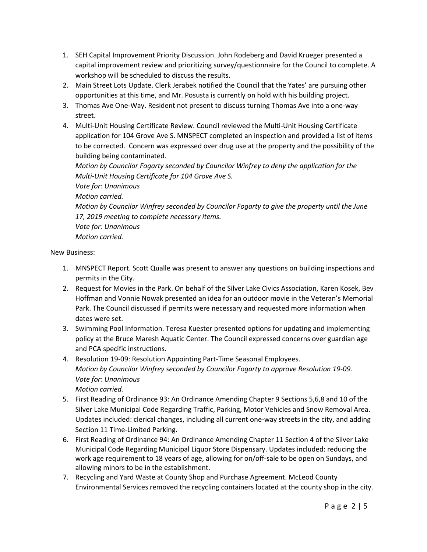- 1. SEH Capital Improvement Priority Discussion. John Rodeberg and David Krueger presented a capital improvement review and prioritizing survey/questionnaire for the Council to complete. A workshop will be scheduled to discuss the results.
- 2. Main Street Lots Update. Clerk Jerabek notified the Council that the Yates' are pursuing other opportunities at this time, and Mr. Posusta is currently on hold with his building project.
- 3. Thomas Ave One-Way. Resident not present to discuss turning Thomas Ave into a one-way street.
- 4. Multi-Unit Housing Certificate Review. Council reviewed the Multi-Unit Housing Certificate application for 104 Grove Ave S. MNSPECT completed an inspection and provided a list of items to be corrected. Concern was expressed over drug use at the property and the possibility of the building being contaminated.

*Motion by Councilor Fogarty seconded by Councilor Winfrey to deny the application for the Multi-Unit Housing Certificate for 104 Grove Ave S. Vote for: Unanimous Motion carried. Motion by Councilor Winfrey seconded by Councilor Fogarty to give the property until the June 17, 2019 meeting to complete necessary items. Vote for: Unanimous Motion carried.*

New Business:

- 1. MNSPECT Report. Scott Qualle was present to answer any questions on building inspections and permits in the City.
- 2. Request for Movies in the Park. On behalf of the Silver Lake Civics Association, Karen Kosek, Bev Hoffman and Vonnie Nowak presented an idea for an outdoor movie in the Veteran's Memorial Park. The Council discussed if permits were necessary and requested more information when dates were set.
- 3. Swimming Pool Information. Teresa Kuester presented options for updating and implementing policy at the Bruce Maresh Aquatic Center. The Council expressed concerns over guardian age and PCA specific instructions.
- 4. Resolution 19-09: Resolution Appointing Part-Time Seasonal Employees. *Motion by Councilor Winfrey seconded by Councilor Fogarty to approve Resolution 19-09. Vote for: Unanimous Motion carried.*
- 5. First Reading of Ordinance 93: An Ordinance Amending Chapter 9 Sections 5,6,8 and 10 of the Silver Lake Municipal Code Regarding Traffic, Parking, Motor Vehicles and Snow Removal Area. Updates included: clerical changes, including all current one-way streets in the city, and adding Section 11 Time-Limited Parking.
- 6. First Reading of Ordinance 94: An Ordinance Amending Chapter 11 Section 4 of the Silver Lake Municipal Code Regarding Municipal Liquor Store Dispensary. Updates included: reducing the work age requirement to 18 years of age, allowing for on/off-sale to be open on Sundays, and allowing minors to be in the establishment.
- 7. Recycling and Yard Waste at County Shop and Purchase Agreement. McLeod County Environmental Services removed the recycling containers located at the county shop in the city.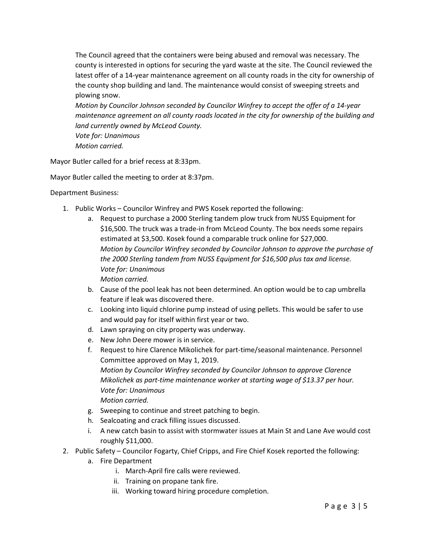The Council agreed that the containers were being abused and removal was necessary. The county is interested in options for securing the yard waste at the site. The Council reviewed the latest offer of a 14-year maintenance agreement on all county roads in the city for ownership of the county shop building and land. The maintenance would consist of sweeping streets and plowing snow.

*Motion by Councilor Johnson seconded by Councilor Winfrey to accept the offer of a 14-year maintenance agreement on all county roads located in the city for ownership of the building and land currently owned by McLeod County.* 

*Vote for: Unanimous Motion carried.*

Mayor Butler called for a brief recess at 8:33pm.

Mayor Butler called the meeting to order at 8:37pm.

Department Business:

- 1. Public Works Councilor Winfrey and PWS Kosek reported the following:
	- a. Request to purchase a 2000 Sterling tandem plow truck from NUSS Equipment for \$16,500. The truck was a trade-in from McLeod County. The box needs some repairs estimated at \$3,500. Kosek found a comparable truck online for \$27,000. *Motion by Councilor Winfrey seconded by Councilor Johnson to approve the purchase of the 2000 Sterling tandem from NUSS Equipment for \$16,500 plus tax and license. Vote for: Unanimous Motion carried.*
	- b. Cause of the pool leak has not been determined. An option would be to cap umbrella feature if leak was discovered there.
	- c. Looking into liquid chlorine pump instead of using pellets. This would be safer to use and would pay for itself within first year or two.
	- d. Lawn spraying on city property was underway.
	- e. New John Deere mower is in service.
	- f. Request to hire Clarence Mikolichek for part-time/seasonal maintenance. Personnel Committee approved on May 1, 2019. *Motion by Councilor Winfrey seconded by Councilor Johnson to approve Clarence Mikolichek as part-time maintenance worker at starting wage of \$13.37 per hour. Vote for: Unanimous Motion carried.*
	- g. Sweeping to continue and street patching to begin.
	- h. Sealcoating and crack filling issues discussed.
	- i. A new catch basin to assist with stormwater issues at Main St and Lane Ave would cost roughly \$11,000.
- 2. Public Safety Councilor Fogarty, Chief Cripps, and Fire Chief Kosek reported the following:
	- a. Fire Department
		- i. March-April fire calls were reviewed.
		- ii. Training on propane tank fire.
		- iii. Working toward hiring procedure completion.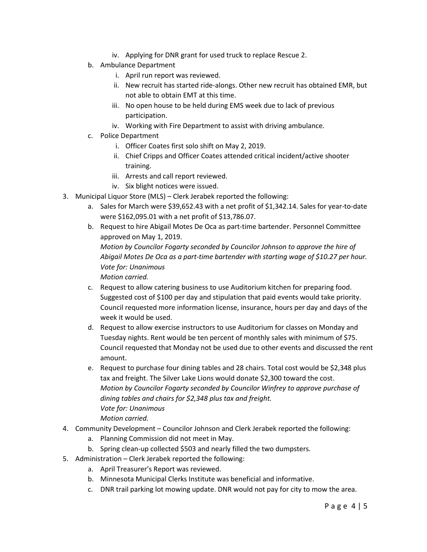- iv. Applying for DNR grant for used truck to replace Rescue 2.
- b. Ambulance Department
	- i. April run report was reviewed.
	- ii. New recruit has started ride-alongs. Other new recruit has obtained EMR, but not able to obtain EMT at this time.
	- iii. No open house to be held during EMS week due to lack of previous participation.
	- iv. Working with Fire Department to assist with driving ambulance.
- c. Police Department
	- i. Officer Coates first solo shift on May 2, 2019.
	- ii. Chief Cripps and Officer Coates attended critical incident/active shooter training.
	- iii. Arrests and call report reviewed.
	- iv. Six blight notices were issued.
- 3. Municipal Liquor Store (MLS) Clerk Jerabek reported the following:
	- a. Sales for March were \$39,652.43 with a net profit of \$1,342.14. Sales for year-to-date were \$162,095.01 with a net profit of \$13,786.07.
	- b. Request to hire Abigail Motes De Oca as part-time bartender. Personnel Committee approved on May 1, 2019. *Motion by Councilor Fogarty seconded by Councilor Johnson to approve the hire of Abigail Motes De Oca as a part-time bartender with starting wage of \$10.27 per hour. Vote for: Unanimous Motion carried.*
	- c. Request to allow catering business to use Auditorium kitchen for preparing food. Suggested cost of \$100 per day and stipulation that paid events would take priority. Council requested more information license, insurance, hours per day and days of the week it would be used.
	- d. Request to allow exercise instructors to use Auditorium for classes on Monday and Tuesday nights. Rent would be ten percent of monthly sales with minimum of \$75. Council requested that Monday not be used due to other events and discussed the rent amount.
	- e. Request to purchase four dining tables and 28 chairs. Total cost would be \$2,348 plus tax and freight. The Silver Lake Lions would donate \$2,300 toward the cost. *Motion by Councilor Fogarty seconded by Councilor Winfrey to approve purchase of dining tables and chairs for \$2,348 plus tax and freight. Vote for: Unanimous Motion carried.*
- 4. Community Development Councilor Johnson and Clerk Jerabek reported the following:
	- a. Planning Commission did not meet in May.
	- b. Spring clean-up collected \$503 and nearly filled the two dumpsters.
- 5. Administration Clerk Jerabek reported the following:
	- a. April Treasurer's Report was reviewed.
	- b. Minnesota Municipal Clerks Institute was beneficial and informative.
	- c. DNR trail parking lot mowing update. DNR would not pay for city to mow the area.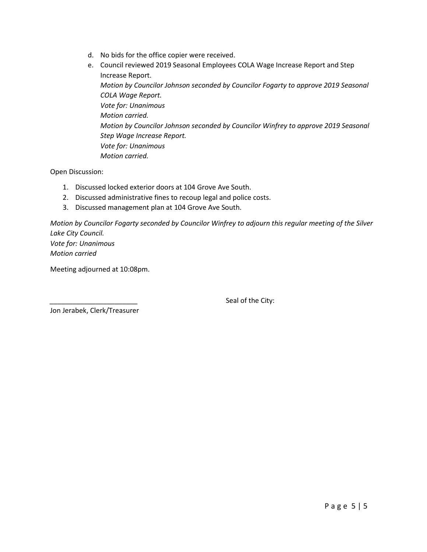- d. No bids for the office copier were received.
- e. Council reviewed 2019 Seasonal Employees COLA Wage Increase Report and Step Increase Report. *Motion by Councilor Johnson seconded by Councilor Fogarty to approve 2019 Seasonal COLA Wage Report. Vote for: Unanimous Motion carried. Motion by Councilor Johnson seconded by Councilor Winfrey to approve 2019 Seasonal Step Wage Increase Report. Vote for: Unanimous Motion carried.*

Open Discussion:

- 1. Discussed locked exterior doors at 104 Grove Ave South.
- 2. Discussed administrative fines to recoup legal and police costs.
- 3. Discussed management plan at 104 Grove Ave South.

*Motion by Councilor Fogarty seconded by Councilor Winfrey to adjourn this regular meeting of the Silver Lake City Council. Vote for: Unanimous*

*Motion carried*

Meeting adjourned at 10:08pm.

Seal of the City:

Jon Jerabek, Clerk/Treasurer